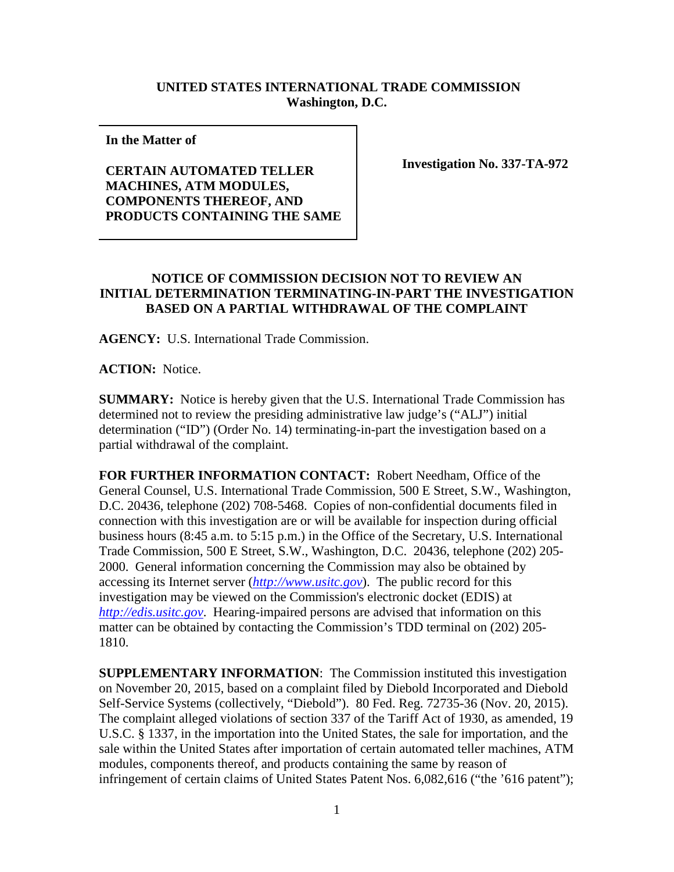## **UNITED STATES INTERNATIONAL TRADE COMMISSION Washington, D.C.**

**In the Matter of** 

**CERTAIN AUTOMATED TELLER MACHINES, ATM MODULES, COMPONENTS THEREOF, AND PRODUCTS CONTAINING THE SAME** **Investigation No. 337-TA-972**

## **NOTICE OF COMMISSION DECISION NOT TO REVIEW AN INITIAL DETERMINATION TERMINATING-IN-PART THE INVESTIGATION BASED ON A PARTIAL WITHDRAWAL OF THE COMPLAINT**

**AGENCY:** U.S. International Trade Commission.

**ACTION:** Notice.

**SUMMARY:** Notice is hereby given that the U.S. International Trade Commission has determined not to review the presiding administrative law judge's ("ALJ") initial determination ("ID") (Order No. 14) terminating-in-part the investigation based on a partial withdrawal of the complaint.

**FOR FURTHER INFORMATION CONTACT:** Robert Needham, Office of the General Counsel, U.S. International Trade Commission, 500 E Street, S.W., Washington, D.C. 20436, telephone (202) 708-5468. Copies of non-confidential documents filed in connection with this investigation are or will be available for inspection during official business hours (8:45 a.m. to 5:15 p.m.) in the Office of the Secretary, U.S. International Trade Commission, 500 E Street, S.W., Washington, D.C. 20436, telephone (202) 205- 2000. General information concerning the Commission may also be obtained by accessing its Internet server (*[http://www.usitc.gov](http://www.usitc.gov/)*). The public record for this investigation may be viewed on the Commission's electronic docket (EDIS) at *[http://edis.usitc.gov](http://edis.usitc.gov/)*. Hearing-impaired persons are advised that information on this matter can be obtained by contacting the Commission's TDD terminal on (202) 205- 1810.

**SUPPLEMENTARY INFORMATION**: The Commission instituted this investigation on November 20, 2015, based on a complaint filed by Diebold Incorporated and Diebold Self-Service Systems (collectively, "Diebold"). 80 Fed. Reg. 72735-36 (Nov. 20, 2015). The complaint alleged violations of section 337 of the Tariff Act of 1930, as amended, 19 U.S.C. § 1337, in the importation into the United States, the sale for importation, and the sale within the United States after importation of certain automated teller machines, ATM modules, components thereof, and products containing the same by reason of infringement of certain claims of United States Patent Nos. 6,082,616 ("the '616 patent");